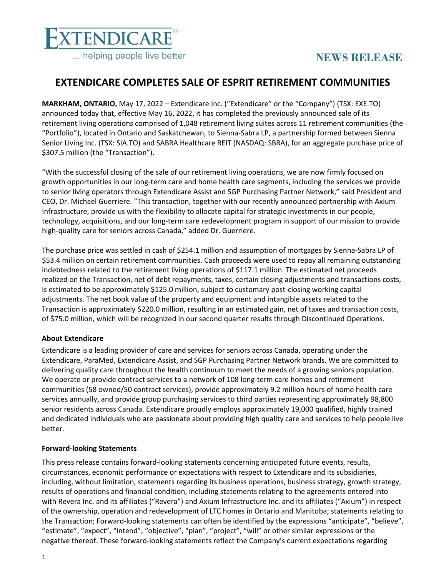

# **NEWS RELEASE**

## **EXTENDICARE COMPLETES SALE OF ESPRIT RETIREMENT COMMUNITIES**

**MARKHAM, ONTARIO,** May 17, 2022 – Extendicare Inc. ("Extendicare" or the "Company") (TSX: EXE.TO) announced today that, effective May 16, 2022, it has completed the previously announced sale of its retirement living operations comprised of 1,048 retirement living suites across 11 retirement communities (the "Portfolio"), located in Ontario and Saskatchewan, to Sienna-Sabra LP, a partnership formed between Sienna Senior Living Inc. (TSX: SIA.TO) and SABRA Healthcare REIT (NASDAQ: SBRA), for an aggregate purchase price of \$307.5 million (the "Transaction").

"With the successful closing of the sale of our retirement living operations, we are now firmly focused on growth opportunities in our long-term care and home health care segments, including the services we provide to senior living operators through Extendicare Assist and SGP Purchasing Partner Network," said President and CEO, Dr. Michael Guerriere. "This transaction, together with our recently announced partnership with Axium Infrastructure, provide us with the flexibility to allocate capital for strategic investments in our people, technology, acquisitions, and our long-term care redevelopment program in support of our mission to provide high-quality care for seniors across Canada," added Dr. Guerriere.

The purchase price was settled in cash of \$254.1 million and assumption of mortgages by Sienna-Sabra LP of \$53.4 million on certain retirement communities. Cash proceeds were used to repay all remaining outstanding indebtedness related to the retirement living operations of \$117.1 million. The estimated net proceeds realized on the Transaction, net of debt repayments, taxes, certain closing adjustments and transactions costs, is estimated to be approximately \$125.0 million, subject to customary post-closing working capital adjustments. The net book value of the property and equipment and intangible assets related to the Transaction is approximately \$220.0 million, resulting in an estimated gain, net of taxes and transaction costs, of \$75.0 million, which will be recognized in our second quarter results through Discontinued Operations.

### **About Extendicare**

Extendicare is a leading provider of care and services for seniors across Canada, operating under the Extendicare, ParaMed, Extendicare Assist, and SGP Purchasing Partner Network brands. We are committed to delivering quality care throughout the health continuum to meet the needs of a growing seniors population. We operate or provide contract services to a network of 108 long-term care homes and retirement communities (58 owned/50 contract services), provide approximately 9.2 million hours of home health care services annually, and provide group purchasing services to third parties representing approximately 98,800 senior residents across Canada. Extendicare proudly employs approximately 19,000 qualified, highly trained and dedicated individuals who are passionate about providing high quality care and services to help people live better.

### **Forward-looking Statements**

This press release contains forward-looking statements concerning anticipated future events, results, circumstances, economic performance or expectations with respect to Extendicare and its subsidiaries, including, without limitation, statements regarding its business operations, business strategy, growth strategy, results of operations and financial condition, including statements relating to the agreements entered into with Revera Inc. and its affiliates ("Revera") and Axium Infrastructure Inc. and its affiliates ("Axium") in respect of the ownership, operation and redevelopment of LTC homes in Ontario and Manitoba; statements relating to the Transaction; Forward-looking statements can often be identified by the expressions "anticipate", "believe", "estimate", "expect", "intend", "objective", "plan", "project", "will" or other similar expressions or the negative thereof. These forward-looking statements reflect the Company's current expectations regarding